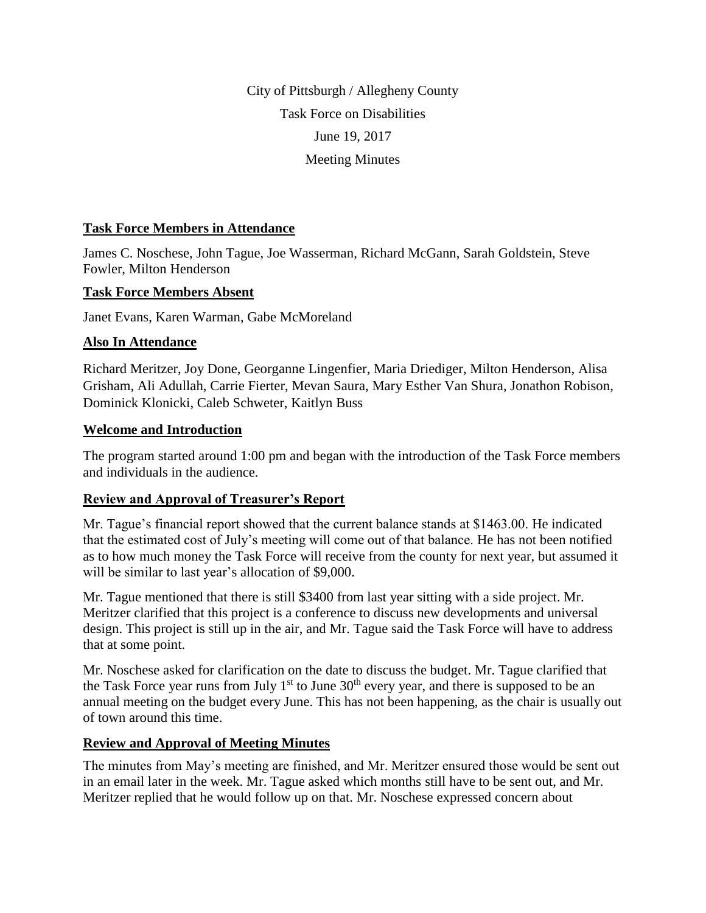City of Pittsburgh / Allegheny County Task Force on Disabilities June 19, 2017 Meeting Minutes

#### **Task Force Members in Attendance**

James C. Noschese, John Tague, Joe Wasserman, Richard McGann, Sarah Goldstein, Steve Fowler, Milton Henderson

#### **Task Force Members Absent**

Janet Evans, Karen Warman, Gabe McMoreland

## **Also In Attendance**

Richard Meritzer, Joy Done, Georganne Lingenfier, Maria Driediger, Milton Henderson, Alisa Grisham, Ali Adullah, Carrie Fierter, Mevan Saura, Mary Esther Van Shura, Jonathon Robison, Dominick Klonicki, Caleb Schweter, Kaitlyn Buss

#### **Welcome and Introduction**

The program started around 1:00 pm and began with the introduction of the Task Force members and individuals in the audience.

## **Review and Approval of Treasurer's Report**

Mr. Tague's financial report showed that the current balance stands at \$1463.00. He indicated that the estimated cost of July's meeting will come out of that balance. He has not been notified as to how much money the Task Force will receive from the county for next year, but assumed it will be similar to last year's allocation of \$9,000.

Mr. Tague mentioned that there is still \$3400 from last year sitting with a side project. Mr. Meritzer clarified that this project is a conference to discuss new developments and universal design. This project is still up in the air, and Mr. Tague said the Task Force will have to address that at some point.

Mr. Noschese asked for clarification on the date to discuss the budget. Mr. Tague clarified that the Task Force year runs from July  $1<sup>st</sup>$  to June  $30<sup>th</sup>$  every year, and there is supposed to be an annual meeting on the budget every June. This has not been happening, as the chair is usually out of town around this time.

## **Review and Approval of Meeting Minutes**

The minutes from May's meeting are finished, and Mr. Meritzer ensured those would be sent out in an email later in the week. Mr. Tague asked which months still have to be sent out, and Mr. Meritzer replied that he would follow up on that. Mr. Noschese expressed concern about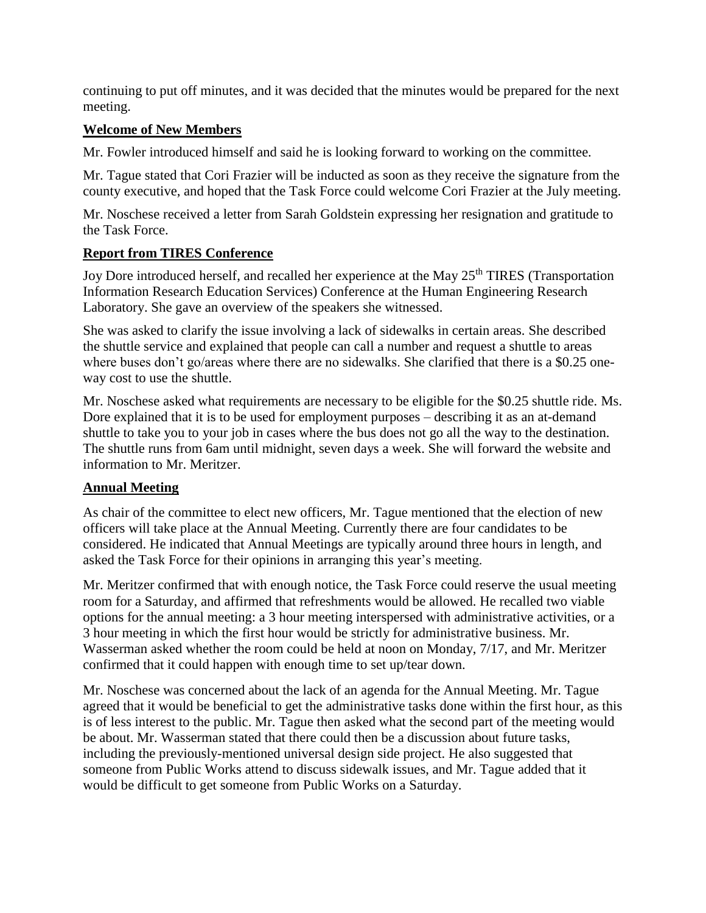continuing to put off minutes, and it was decided that the minutes would be prepared for the next meeting.

## **Welcome of New Members**

Mr. Fowler introduced himself and said he is looking forward to working on the committee.

Mr. Tague stated that Cori Frazier will be inducted as soon as they receive the signature from the county executive, and hoped that the Task Force could welcome Cori Frazier at the July meeting.

Mr. Noschese received a letter from Sarah Goldstein expressing her resignation and gratitude to the Task Force.

## **Report from TIRES Conference**

Joy Dore introduced herself, and recalled her experience at the May 25<sup>th</sup> TIRES (Transportation Information Research Education Services) Conference at the Human Engineering Research Laboratory. She gave an overview of the speakers she witnessed.

She was asked to clarify the issue involving a lack of sidewalks in certain areas. She described the shuttle service and explained that people can call a number and request a shuttle to areas where buses don't go/areas where there are no sidewalks. She clarified that there is a \$0.25 oneway cost to use the shuttle.

Mr. Noschese asked what requirements are necessary to be eligible for the \$0.25 shuttle ride. Ms. Dore explained that it is to be used for employment purposes – describing it as an at-demand shuttle to take you to your job in cases where the bus does not go all the way to the destination. The shuttle runs from 6am until midnight, seven days a week. She will forward the website and information to Mr. Meritzer.

## **Annual Meeting**

As chair of the committee to elect new officers, Mr. Tague mentioned that the election of new officers will take place at the Annual Meeting. Currently there are four candidates to be considered. He indicated that Annual Meetings are typically around three hours in length, and asked the Task Force for their opinions in arranging this year's meeting.

Mr. Meritzer confirmed that with enough notice, the Task Force could reserve the usual meeting room for a Saturday, and affirmed that refreshments would be allowed. He recalled two viable options for the annual meeting: a 3 hour meeting interspersed with administrative activities, or a 3 hour meeting in which the first hour would be strictly for administrative business. Mr. Wasserman asked whether the room could be held at noon on Monday, 7/17, and Mr. Meritzer confirmed that it could happen with enough time to set up/tear down.

Mr. Noschese was concerned about the lack of an agenda for the Annual Meeting. Mr. Tague agreed that it would be beneficial to get the administrative tasks done within the first hour, as this is of less interest to the public. Mr. Tague then asked what the second part of the meeting would be about. Mr. Wasserman stated that there could then be a discussion about future tasks, including the previously-mentioned universal design side project. He also suggested that someone from Public Works attend to discuss sidewalk issues, and Mr. Tague added that it would be difficult to get someone from Public Works on a Saturday.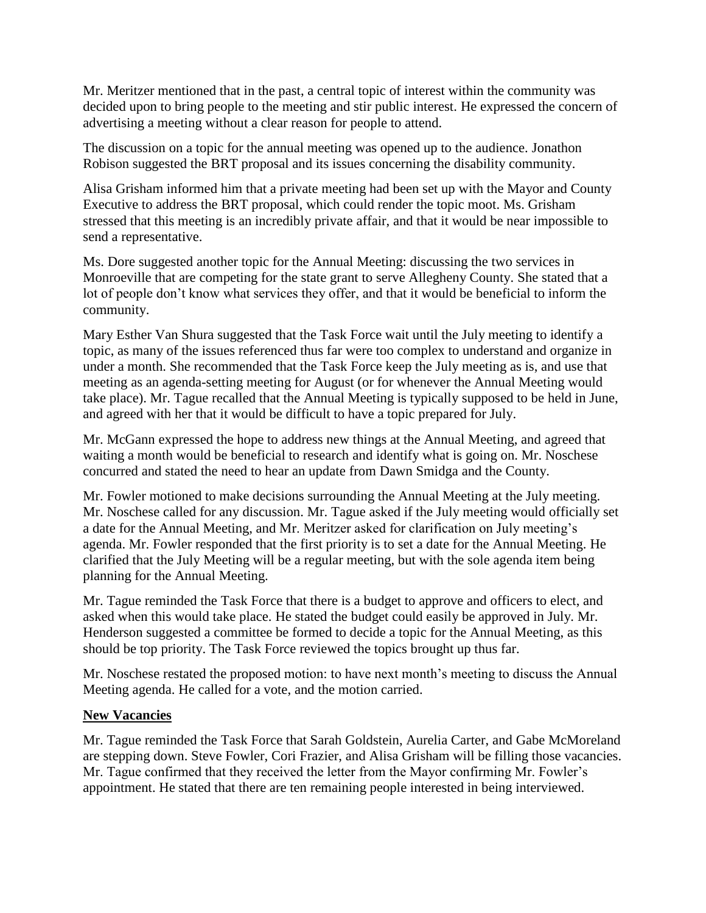Mr. Meritzer mentioned that in the past, a central topic of interest within the community was decided upon to bring people to the meeting and stir public interest. He expressed the concern of advertising a meeting without a clear reason for people to attend.

The discussion on a topic for the annual meeting was opened up to the audience. Jonathon Robison suggested the BRT proposal and its issues concerning the disability community.

Alisa Grisham informed him that a private meeting had been set up with the Mayor and County Executive to address the BRT proposal, which could render the topic moot. Ms. Grisham stressed that this meeting is an incredibly private affair, and that it would be near impossible to send a representative.

Ms. Dore suggested another topic for the Annual Meeting: discussing the two services in Monroeville that are competing for the state grant to serve Allegheny County. She stated that a lot of people don't know what services they offer, and that it would be beneficial to inform the community.

Mary Esther Van Shura suggested that the Task Force wait until the July meeting to identify a topic, as many of the issues referenced thus far were too complex to understand and organize in under a month. She recommended that the Task Force keep the July meeting as is, and use that meeting as an agenda-setting meeting for August (or for whenever the Annual Meeting would take place). Mr. Tague recalled that the Annual Meeting is typically supposed to be held in June, and agreed with her that it would be difficult to have a topic prepared for July.

Mr. McGann expressed the hope to address new things at the Annual Meeting, and agreed that waiting a month would be beneficial to research and identify what is going on. Mr. Noschese concurred and stated the need to hear an update from Dawn Smidga and the County.

Mr. Fowler motioned to make decisions surrounding the Annual Meeting at the July meeting. Mr. Noschese called for any discussion. Mr. Tague asked if the July meeting would officially set a date for the Annual Meeting, and Mr. Meritzer asked for clarification on July meeting's agenda. Mr. Fowler responded that the first priority is to set a date for the Annual Meeting. He clarified that the July Meeting will be a regular meeting, but with the sole agenda item being planning for the Annual Meeting.

Mr. Tague reminded the Task Force that there is a budget to approve and officers to elect, and asked when this would take place. He stated the budget could easily be approved in July. Mr. Henderson suggested a committee be formed to decide a topic for the Annual Meeting, as this should be top priority. The Task Force reviewed the topics brought up thus far.

Mr. Noschese restated the proposed motion: to have next month's meeting to discuss the Annual Meeting agenda. He called for a vote, and the motion carried.

## **New Vacancies**

Mr. Tague reminded the Task Force that Sarah Goldstein, Aurelia Carter, and Gabe McMoreland are stepping down. Steve Fowler, Cori Frazier, and Alisa Grisham will be filling those vacancies. Mr. Tague confirmed that they received the letter from the Mayor confirming Mr. Fowler's appointment. He stated that there are ten remaining people interested in being interviewed.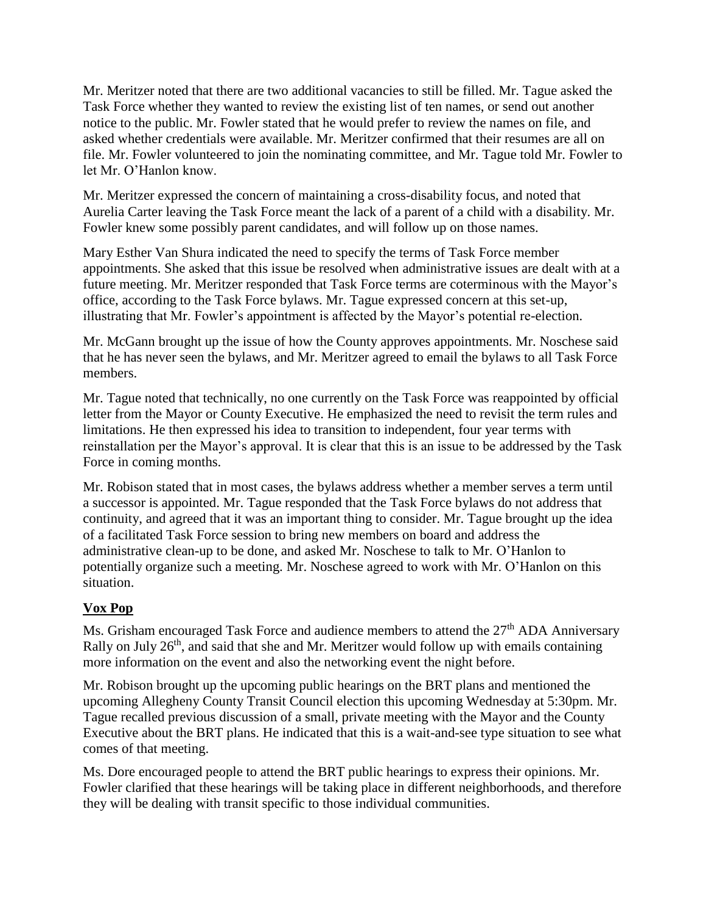Mr. Meritzer noted that there are two additional vacancies to still be filled. Mr. Tague asked the Task Force whether they wanted to review the existing list of ten names, or send out another notice to the public. Mr. Fowler stated that he would prefer to review the names on file, and asked whether credentials were available. Mr. Meritzer confirmed that their resumes are all on file. Mr. Fowler volunteered to join the nominating committee, and Mr. Tague told Mr. Fowler to let Mr. O'Hanlon know.

Mr. Meritzer expressed the concern of maintaining a cross-disability focus, and noted that Aurelia Carter leaving the Task Force meant the lack of a parent of a child with a disability. Mr. Fowler knew some possibly parent candidates, and will follow up on those names.

Mary Esther Van Shura indicated the need to specify the terms of Task Force member appointments. She asked that this issue be resolved when administrative issues are dealt with at a future meeting. Mr. Meritzer responded that Task Force terms are coterminous with the Mayor's office, according to the Task Force bylaws. Mr. Tague expressed concern at this set-up, illustrating that Mr. Fowler's appointment is affected by the Mayor's potential re-election.

Mr. McGann brought up the issue of how the County approves appointments. Mr. Noschese said that he has never seen the bylaws, and Mr. Meritzer agreed to email the bylaws to all Task Force members.

Mr. Tague noted that technically, no one currently on the Task Force was reappointed by official letter from the Mayor or County Executive. He emphasized the need to revisit the term rules and limitations. He then expressed his idea to transition to independent, four year terms with reinstallation per the Mayor's approval. It is clear that this is an issue to be addressed by the Task Force in coming months.

Mr. Robison stated that in most cases, the bylaws address whether a member serves a term until a successor is appointed. Mr. Tague responded that the Task Force bylaws do not address that continuity, and agreed that it was an important thing to consider. Mr. Tague brought up the idea of a facilitated Task Force session to bring new members on board and address the administrative clean-up to be done, and asked Mr. Noschese to talk to Mr. O'Hanlon to potentially organize such a meeting. Mr. Noschese agreed to work with Mr. O'Hanlon on this situation.

# **Vox Pop**

Ms. Grisham encouraged Task Force and audience members to attend the  $27<sup>th</sup>$  ADA Anniversary Rally on July  $26<sup>th</sup>$ , and said that she and Mr. Meritzer would follow up with emails containing more information on the event and also the networking event the night before.

Mr. Robison brought up the upcoming public hearings on the BRT plans and mentioned the upcoming Allegheny County Transit Council election this upcoming Wednesday at 5:30pm. Mr. Tague recalled previous discussion of a small, private meeting with the Mayor and the County Executive about the BRT plans. He indicated that this is a wait-and-see type situation to see what comes of that meeting.

Ms. Dore encouraged people to attend the BRT public hearings to express their opinions. Mr. Fowler clarified that these hearings will be taking place in different neighborhoods, and therefore they will be dealing with transit specific to those individual communities.